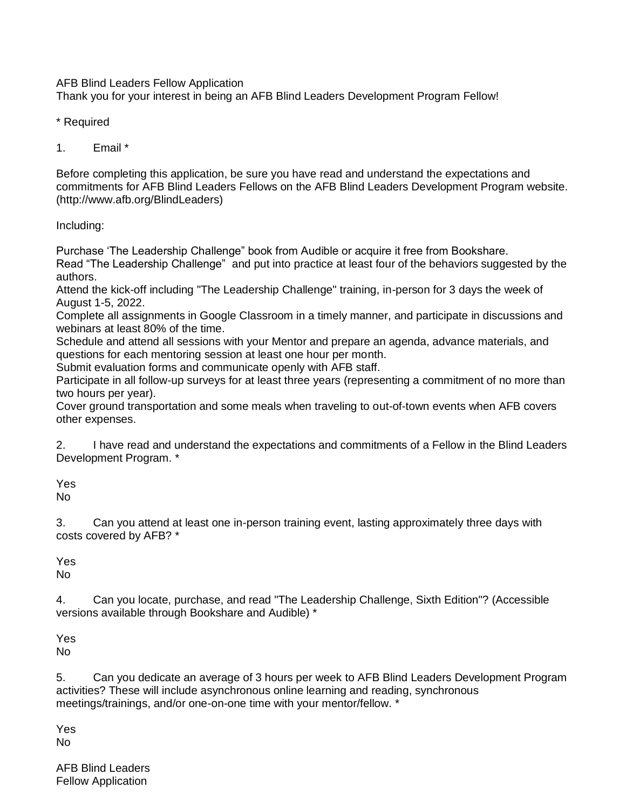AFB Blind Leaders Fellow Application

Thank you for your interest in being an AFB Blind Leaders Development Program Fellow!

\* Required

1. Email \*

Before completing this application, be sure you have read and understand the expectations and commitments for AFB Blind Leaders Fellows on the AFB Blind Leaders Development Program website. (http://www.afb.org/BlindLeaders)

Including:

Purchase 'The Leadership Challenge" book from Audible or acquire it free from Bookshare. Read "The Leadership Challenge" and put into practice at least four of the behaviors suggested by the authors.

Attend the kick-off including "The Leadership Challenge" training, in-person for 3 days the week of August 1-5, 2022.

Complete all assignments in Google Classroom in a timely manner, and participate in discussions and webinars at least 80% of the time.

Schedule and attend all sessions with your Mentor and prepare an agenda, advance materials, and questions for each mentoring session at least one hour per month.

Submit evaluation forms and communicate openly with AFB staff.

Participate in all follow-up surveys for at least three years (representing a commitment of no more than two hours per year).

Cover ground transportation and some meals when traveling to out-of-town events when AFB covers other expenses.

2. I have read and understand the expectations and commitments of a Fellow in the Blind Leaders Development Program. \*

Yes No

3. Can you attend at least one in-person training event, lasting approximately three days with costs covered by AFB? \*

Yes

No

4. Can you locate, purchase, and read "The Leadership Challenge, Sixth Edition"? (Accessible versions available through Bookshare and Audible) \*

Yes No

5. Can you dedicate an average of 3 hours per week to AFB Blind Leaders Development Program activities? These will include asynchronous online learning and reading, synchronous meetings/trainings, and/or one-on-one time with your mentor/fellow. \*

Yes No

AFB Blind Leaders Fellow Application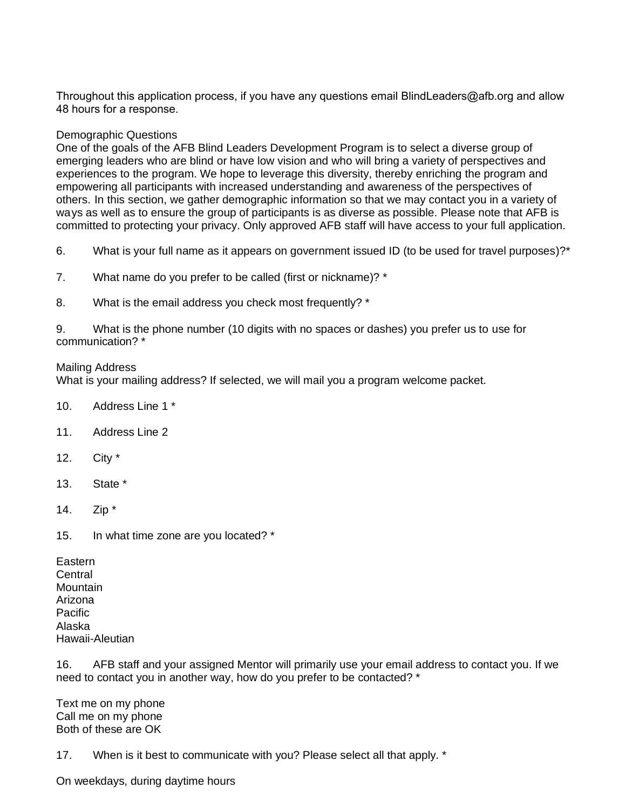Throughout this application process, if you have any questions email BlindLeaders@afb.org and allow 48 hours for a response.

## Demographic Questions

One of the goals of the AFB Blind Leaders Development Program is to select a diverse group of emerging leaders who are blind or have low vision and who will bring a variety of perspectives and experiences to the program. We hope to leverage this diversity, thereby enriching the program and empowering all participants with increased understanding and awareness of the perspectives of others. In this section, we gather demographic information so that we may contact you in a variety of ways as well as to ensure the group of participants is as diverse as possible. Please note that AFB is committed to protecting your privacy. Only approved AFB staff will have access to your full application.

- 6. What is your full name as it appears on government issued ID (to be used for travel purposes)?\*
- 7. What name do you prefer to be called (first or nickname)? \*
- 8. What is the email address you check most frequently? \*

9. What is the phone number (10 digits with no spaces or dashes) you prefer us to use for communication? \*

## Mailing Address

What is your mailing address? If selected, we will mail you a program welcome packet.

- 10. Address Line 1 \*
- 11. Address Line 2
- 12. City \*
- 13. State \*
- 14. Zip \*
- 15. In what time zone are you located? \*

**Eastern Central Mountain** Arizona Pacific Alaska Hawaii-Aleutian

16. AFB staff and your assigned Mentor will primarily use your email address to contact you. If we need to contact you in another way, how do you prefer to be contacted? \*

Text me on my phone Call me on my phone Both of these are OK

17. When is it best to communicate with you? Please select all that apply. \*

On weekdays, during daytime hours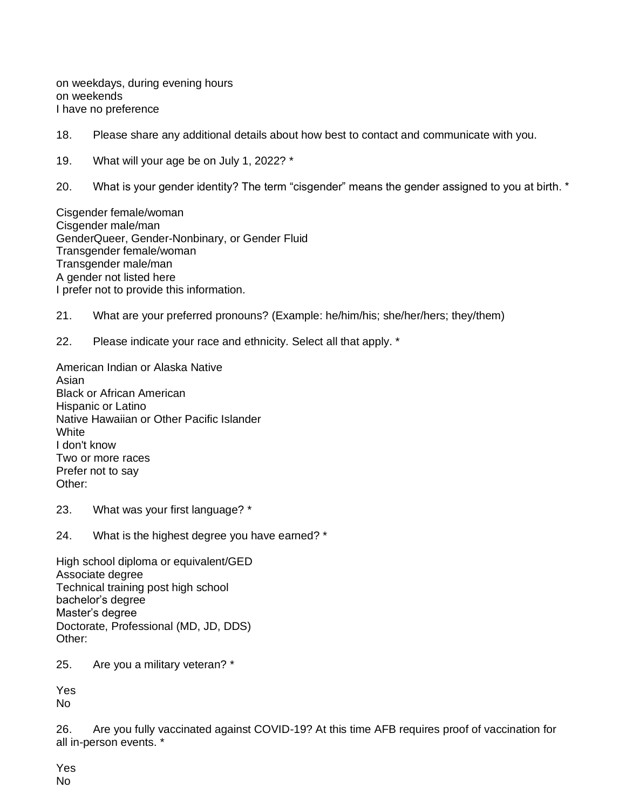on weekdays, during evening hours on weekends I have no preference

- 18. Please share any additional details about how best to contact and communicate with you.
- 19. What will your age be on July 1, 2022? \*
- 20. What is your gender identity? The term "cisgender" means the gender assigned to you at birth. \*

Cisgender female/woman Cisgender male/man GenderQueer, Gender-Nonbinary, or Gender Fluid Transgender female/woman Transgender male/man A gender not listed here I prefer not to provide this information.

21. What are your preferred pronouns? (Example: he/him/his; she/her/hers; they/them)

22. Please indicate your race and ethnicity. Select all that apply. \*

American Indian or Alaska Native Asian Black or African American Hispanic or Latino Native Hawaiian or Other Pacific Islander **White** I don't know Two or more races Prefer not to say Other:

23. What was your first language? \*

24. What is the highest degree you have earned? \*

High school diploma or equivalent/GED Associate degree Technical training post high school bachelor's degree Master's degree Doctorate, Professional (MD, JD, DDS) Other:

25. Are you a military veteran? \*

Yes

No

26. Are you fully vaccinated against COVID-19? At this time AFB requires proof of vaccination for all in-person events. \*

Yes No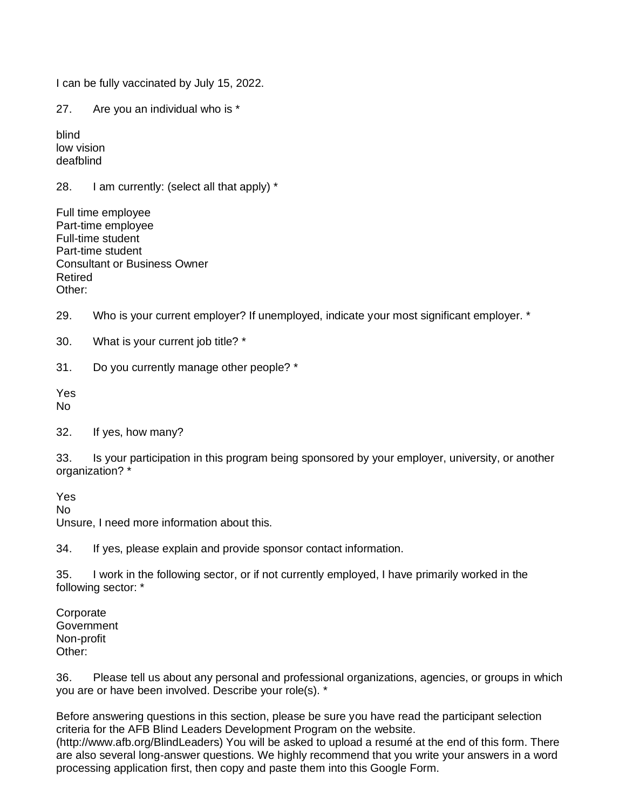I can be fully vaccinated by July 15, 2022.

27. Are you an individual who is \*

blind low vision deafblind

28. I am currently: (select all that apply)  $*$ 

Full time employee Part-time employee Full-time student Part-time student Consultant or Business Owner Retired Other:

29. Who is your current employer? If unemployed, indicate your most significant employer. \*

30. What is your current job title? \*

31. Do you currently manage other people? \*

Yes

No

32. If yes, how many?

33. Is your participation in this program being sponsored by your employer, university, or another organization? \*

Yes

No

Unsure, I need more information about this.

34. If yes, please explain and provide sponsor contact information.

35. I work in the following sector, or if not currently employed, I have primarily worked in the following sector: \*

**Corporate** Government Non-profit Other:

36. Please tell us about any personal and professional organizations, agencies, or groups in which you are or have been involved. Describe your role(s). \*

Before answering questions in this section, please be sure you have read the participant selection criteria for the AFB Blind Leaders Development Program on the website. (http://www.afb.org/BlindLeaders) You will be asked to upload a resumé at the end of this form. There

are also several long-answer questions. We highly recommend that you write your answers in a word processing application first, then copy and paste them into this Google Form.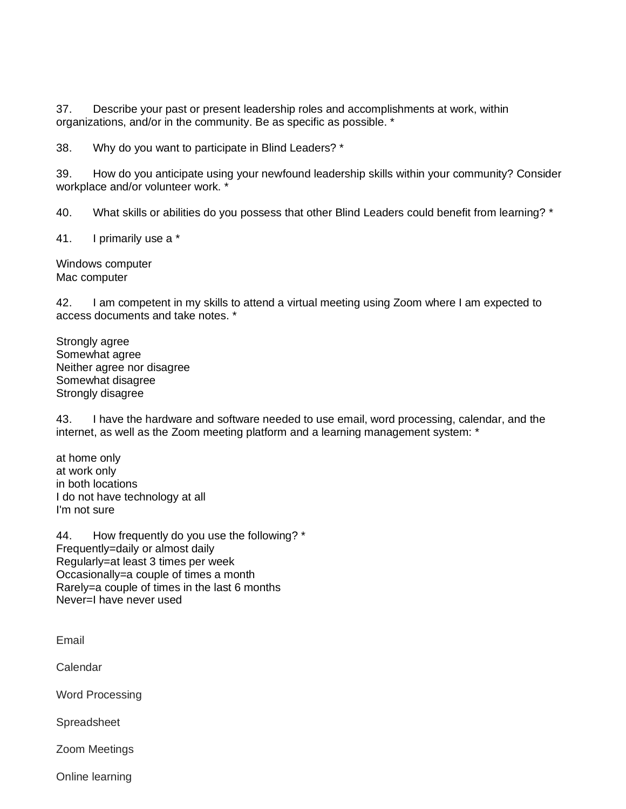37. Describe your past or present leadership roles and accomplishments at work, within organizations, and/or in the community. Be as specific as possible. \*

38. Why do you want to participate in Blind Leaders? \*

39. How do you anticipate using your newfound leadership skills within your community? Consider workplace and/or volunteer work. \*

40. What skills or abilities do you possess that other Blind Leaders could benefit from learning? \*

41. I primarily use a \*

Windows computer Mac computer

42. I am competent in my skills to attend a virtual meeting using Zoom where I am expected to access documents and take notes. \*

Strongly agree Somewhat agree Neither agree nor disagree Somewhat disagree Strongly disagree

43. I have the hardware and software needed to use email, word processing, calendar, and the internet, as well as the Zoom meeting platform and a learning management system: \*

at home only at work only in both locations I do not have technology at all I'm not sure

44. How frequently do you use the following? \* Frequently=daily or almost daily Regularly=at least 3 times per week Occasionally=a couple of times a month Rarely=a couple of times in the last 6 months Never=I have never used

Email

Calendar

Word Processing

Spreadsheet

Zoom Meetings

Online learning